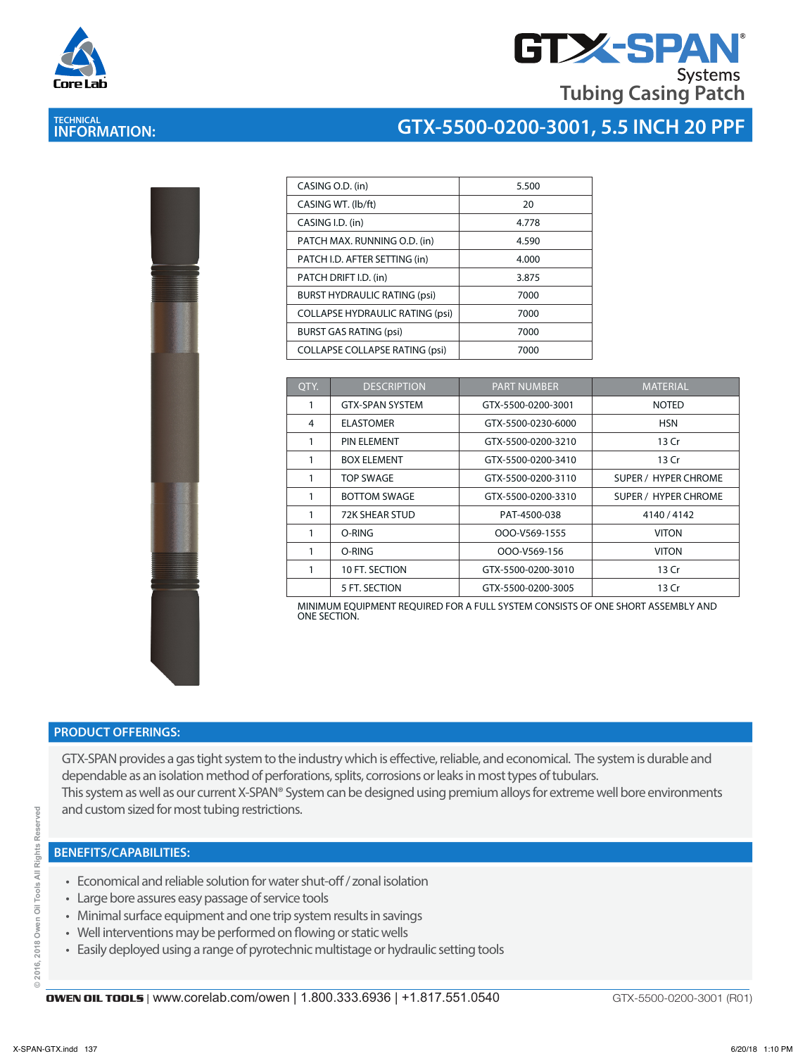



## **TECHNICAL INFORMATION:**

# **GTX-5500-0200-3001, 5.5 INCH 20 PPF**

| CASING O.D. (in)                       | 5.500 |
|----------------------------------------|-------|
| CASING WT. (lb/ft)                     | 20    |
| CASING I.D. (in)                       | 4.778 |
| PATCH MAX. RUNNING O.D. (in)           | 4.590 |
| PATCH I.D. AFTER SETTING (in)          | 4.000 |
| PATCH DRIFT I.D. (in)                  | 3.875 |
| <b>BURST HYDRAULIC RATING (psi)</b>    | 7000  |
| <b>COLLAPSE HYDRAULIC RATING (psi)</b> | 7000  |
| <b>BURST GAS RATING (psi)</b>          | 7000  |
| <b>COLLAPSE COLLAPSE RATING (psi)</b>  | 7000  |

| OTY. | <b>DESCRIPTION</b>     | <b>PART NUMBER</b> | <b>MATERIAL</b>             |
|------|------------------------|--------------------|-----------------------------|
| 1    | <b>GTX-SPAN SYSTEM</b> | GTX-5500-0200-3001 | <b>NOTED</b>                |
| 4    | <b>ELASTOMER</b>       | GTX-5500-0230-6000 | <b>HSN</b>                  |
| 1    | PIN ELEMENT            | GTX-5500-0200-3210 | 13 Cr                       |
|      | <b>BOX ELEMENT</b>     | GTX-5500-0200-3410 | 13 Cr                       |
|      | TOP SWAGE              | GTX-5500-0200-3110 | SUPER / HYPER CHROME        |
| 1    | <b>BOTTOM SWAGE</b>    | GTX-5500-0200-3310 | <b>SUPER / HYPER CHROME</b> |
| 1    | 72K SHEAR STUD         | PAT-4500-038       | 4140 / 4142                 |
| 1    | O-RING                 | OOO-V569-1555      | <b>VITON</b>                |
| 1    | O-RING                 | OOO-V569-156       | <b>VITON</b>                |
|      | 10 FT. SECTION         | GTX-5500-0200-3010 | 13 Cr                       |
|      | 5 FT. SECTION          | GTX-5500-0200-3005 | 13 Cr                       |

MINIMUM EQUIPMENT REQUIRED FOR A FULL SYSTEM CONSISTS OF ONE SHORT ASSEMBLY AND ONE SECTION.

#### **PRODUCT OFFERINGS:**

GTX-SPAN provides a gas tight system to the industry which is effective, reliable, and economical. The system is durable and dependable as an isolation method of perforations, splits, corrosions or leaks in most types of tubulars. This system as well as our current X-SPAN® System can be designed using premium alloys for extreme well bore environments and custom sized for most tubing restrictions.

#### **BENEFITS/CAPABILITIES:**

- Economical and reliable solution for water shut-off / zonal isolation
- Large bore assures easy passage of service tools
- Minimal surface equipment and one trip system results in savings
- Well interventions may be performed on flowing or static wells
- Easily deployed using a range of pyrotechnic multistage or hydraulic setting tools

GTX-5500-0200-3001 (R01)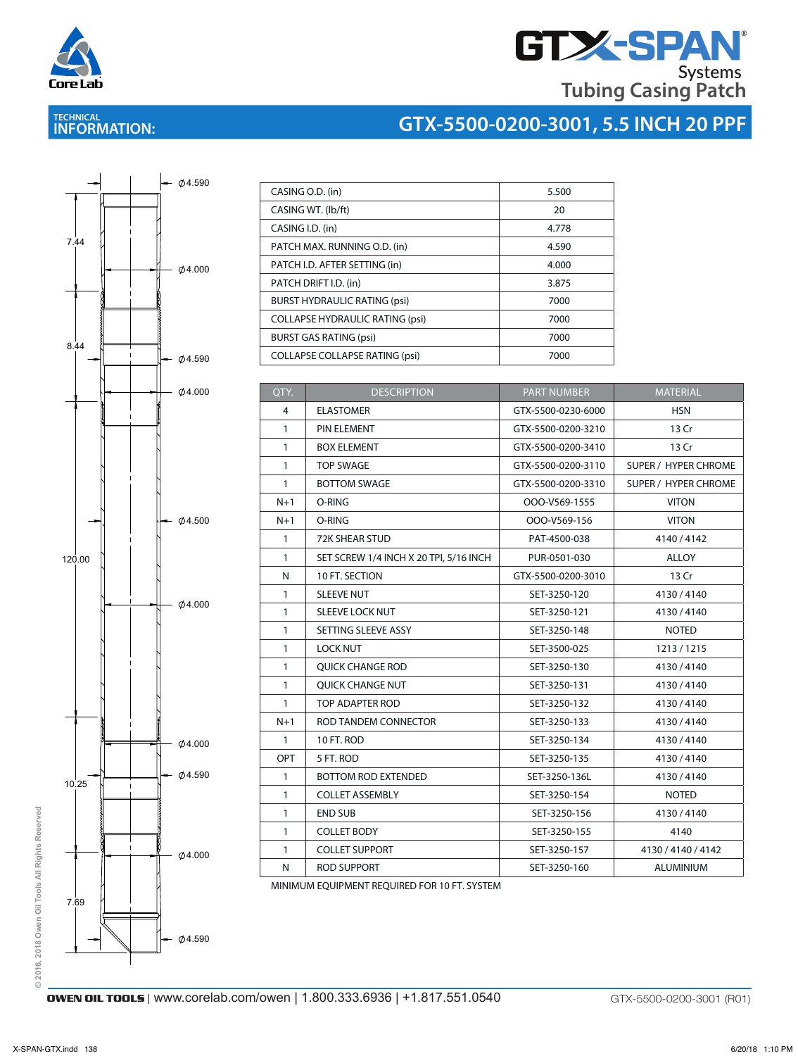

# **GTX-SPAN Tubing Casing Patch**

## **TECHNICAL INFORMATION:**

# **GTX-5500-0200-3001, 5.5 INCH 20 PPF**



| CASING O.D. (in)                       | 5.500 |
|----------------------------------------|-------|
| CASING WT. (lb/ft)                     | 20    |
| CASING I.D. (in)                       | 4.778 |
| PATCH MAX. RUNNING O.D. (in)           | 4.590 |
| PATCH I.D. AFTER SETTING (in)          | 4.000 |
| PATCH DRIFT I.D. (in)                  | 3.875 |
| <b>BURST HYDRAULIC RATING (psi)</b>    | 7000  |
| <b>COLLAPSE HYDRAULIC RATING (psi)</b> | 7000  |
| <b>BURST GAS RATING (psi)</b>          | 7000  |
| <b>COLLAPSE COLLAPSE RATING (psi)</b>  | 7000  |

| QTY.         | <b>DESCRIPTION</b>                     | <b>PART NUMBER</b> | <b>MATERIAL</b>             |
|--------------|----------------------------------------|--------------------|-----------------------------|
| 4            | <b>ELASTOMER</b>                       | GTX-5500-0230-6000 | <b>HSN</b>                  |
| 1            | PIN ELEMENT                            | GTX-5500-0200-3210 | 13 Cr                       |
| $\mathbf{1}$ | <b>BOX ELEMENT</b>                     | GTX-5500-0200-3410 | 13 Cr                       |
| $\mathbf{1}$ | <b>TOP SWAGE</b>                       | GTX-5500-0200-3110 | <b>SUPER / HYPER CHROME</b> |
| $\mathbf{1}$ | <b>BOTTOM SWAGE</b>                    | GTX-5500-0200-3310 | SUPER / HYPER CHROME        |
| $N+1$        | O-RING                                 | OOO-V569-1555      | <b>VITON</b>                |
| $N+1$        | O-RING                                 | OOO-V569-156       | <b>VITON</b>                |
| $\mathbf{1}$ | <b>72K SHEAR STUD</b>                  | PAT-4500-038       | 4140 / 4142                 |
| $\mathbf{1}$ | SET SCREW 1/4 INCH X 20 TPI, 5/16 INCH | PUR-0501-030       | <b>ALLOY</b>                |
| N            | 10 FT. SECTION                         | GTX-5500-0200-3010 | 13 Cr                       |
| $\mathbf{1}$ | <b>SLEEVE NUT</b>                      | SET-3250-120       | 4130/4140                   |
| $\mathbf{1}$ | <b>SLEEVE LOCK NUT</b>                 | SET-3250-121       | 4130/4140                   |
| $\mathbf{1}$ | SETTING SLEEVE ASSY                    | SET-3250-148       | <b>NOTED</b>                |
| $\mathbf{1}$ | <b>LOCK NUT</b>                        | SET-3500-025       | 1213/1215                   |
| $\mathbf{1}$ | <b>QUICK CHANGE ROD</b>                | SET-3250-130       | 4130/4140                   |
| $\mathbf{1}$ | <b>OUICK CHANGE NUT</b>                | SET-3250-131       | 4130/4140                   |
| $\mathbf{1}$ | TOP ADAPTER ROD                        | SET-3250-132       | 4130/4140                   |
| $N+1$        | ROD TANDEM CONNECTOR                   | SET-3250-133       | 4130/4140                   |
| $\mathbf{1}$ | 10 FT. ROD                             | SET-3250-134       | 4130/4140                   |
| OPT          | 5 FT. ROD                              | SET-3250-135       | 4130/4140                   |
| $\mathbf{1}$ | <b>BOTTOM ROD EXTENDED</b>             | SET-3250-136L      | 4130/4140                   |
| $\mathbf{1}$ | <b>COLLET ASSEMBLY</b>                 | SET-3250-154       | <b>NOTED</b>                |
| $\mathbf{1}$ | <b>END SUB</b>                         | SET-3250-156       | 4130/4140                   |
| $\mathbf{1}$ | <b>COLLET BODY</b>                     | SET-3250-155       | 4140                        |
| $\mathbf{1}$ | <b>COLLET SUPPORT</b>                  | SET-3250-157       | 4130 / 4140 / 4142          |
| N            | <b>ROD SUPPORT</b>                     | SET-3250-160       | <b>ALUMINIUM</b>            |

MINIMUM EQUIPMENT REQUIRED FOR 10 FT. SYSTEM

**OWEN OIL TOOLS** | www.corelab.com/owen | 1.800.333.6936 | +1.817.551.0540 GTX-5500-0200-3001 (R01)

**© 2016, 2018 Owen Oil Tools All Rights Reserved**

 $@2016,$ 

2018 Owen Oil Tools All Rights Reserved